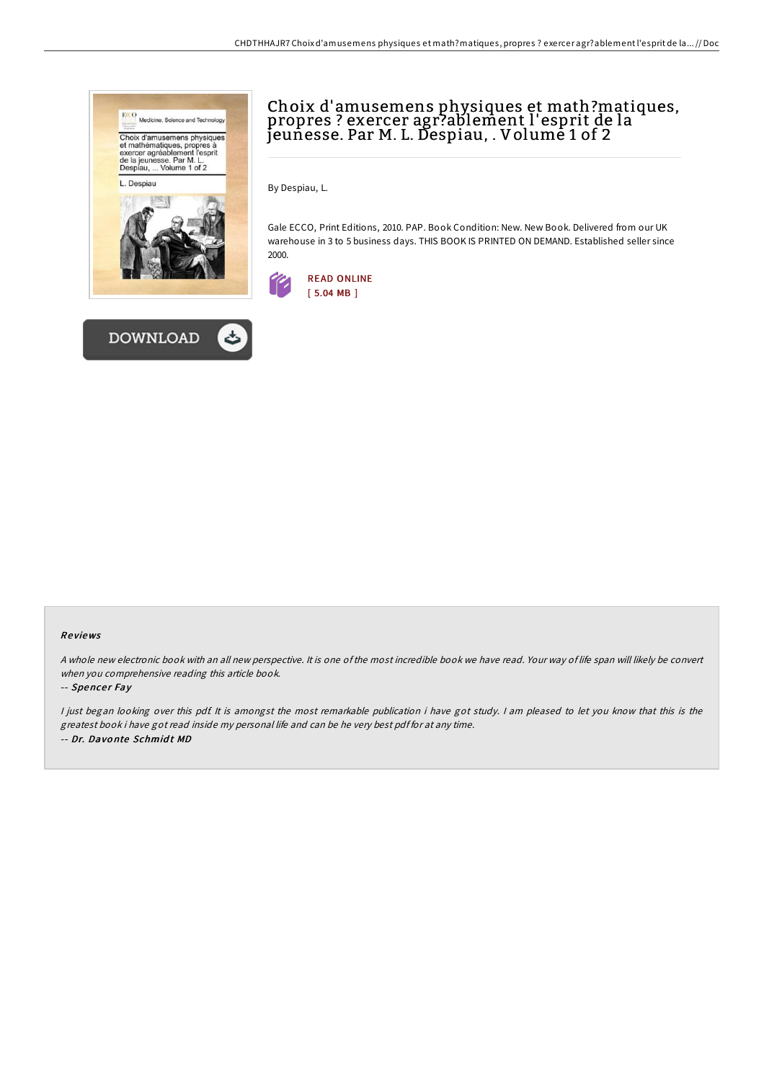



# Choix d'amusemens physiques et math?matiques, propres ? exercer agr?ablement l'esprit de la jeunesse. Par M. L. Despiau, . Volume 1 of 2

By Despiau, L.

Gale ECCO, Print Editions, 2010. PAP. Book Condition: New. New Book. Delivered from our UK warehouse in 3 to 5 business days. THIS BOOK IS PRINTED ON DEMAND. Established seller since 2000.



### Re views

A whole new electronic book with an all new perspective. It is one of the most incredible book we have read. Your way of life span will likely be convert when you comprehensive reading this article book.

#### -- Spencer Fay

I just began looking over this pdf. It is amongst the most remarkable publication i have got study. I am pleased to let you know that this is the greatest book i have got read inside my personal life and can be he very best pdf for at any time. -- Dr. Davonte Schmidt MD